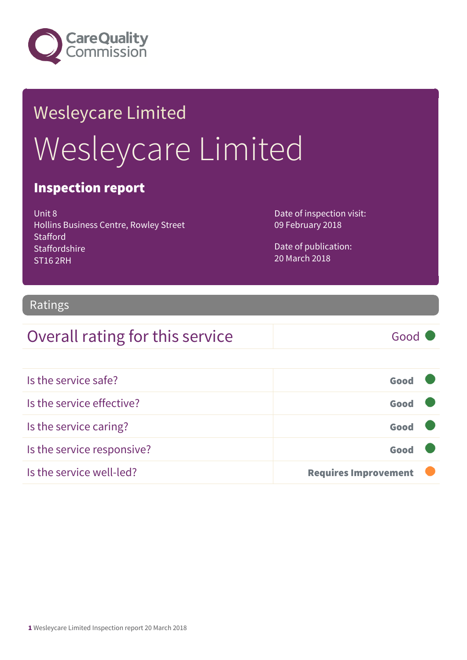

# Wesleycare Limited Wesleycare Limited

#### Inspection report

Unit 8 Hollins Business Centre, Rowley Street **Stafford Staffordshire** ST16 2RH

Date of inspection visit: 09 February 2018

Date of publication: 20 March 2018

#### Ratings

#### Overall rating for this service Good

| Is the service safe?       | Good                        |  |
|----------------------------|-----------------------------|--|
| Is the service effective?  | Good                        |  |
| Is the service caring?     | Good                        |  |
| Is the service responsive? | Good                        |  |
| Is the service well-led?   | <b>Requires Improvement</b> |  |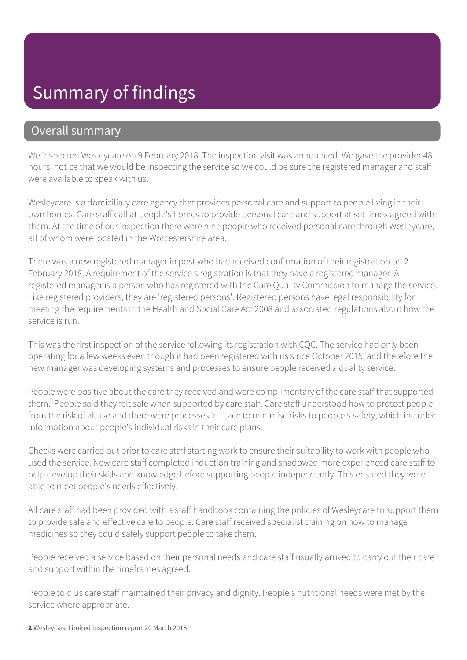## Summary of findings

#### Overall summary

We inspected Wesleycare on 9 February 2018. The inspection visit was announced. We gave the provider 48 hours' notice that we would be inspecting the service so we could be sure the registered manager and staff were available to speak with us.

Wesleycare is a domiciliary care agency that provides personal care and support to people living in their own homes. Care staff call at people's homes to provide personal care and support at set times agreed with them. At the time of our inspection there were nine people who received personal care through Wesleycare, all of whom were located in the Worcestershire area.

There was a new registered manager in post who had received confirmation of their registration on 2 February 2018. A requirement of the service's registration is that they have a registered manager. A registered manager is a person who has registered with the Care Quality Commission to manage the service. Like registered providers, they are 'registered persons'. Registered persons have legal responsibility for meeting the requirements in the Health and Social Care Act 2008 and associated regulations about how the service is run.

This was the first inspection of the service following its registration with CQC. The service had only been operating for a few weeks even though it had been registered with us since October 2015, and therefore the new manager was developing systems and processes to ensure people received a quality service.

People were positive about the care they received and were complimentary of the care staff that supported them. People said they felt safe when supported by care staff. Care staff understood how to protect people from the risk of abuse and there were processes in place to minimise risks to people's safety, which included information about people's individual risks in their care plans.

Checks were carried out prior to care staff starting work to ensure their suitability to work with people who used the service. New care staff completed induction training and shadowed more experienced care staff to help develop their skills and knowledge before supporting people independently. This ensured they were able to meet people's needs effectively.

All care staff had been provided with a staff handbook containing the policies of Wesleycare to support them to provide safe and effective care to people. Care staff received specialist training on how to manage medicines so they could safely support people to take them.

People received a service based on their personal needs and care staff usually arrived to carry out their care and support within the timeframes agreed.

People told us care staff maintained their privacy and dignity. People's nutritional needs were met by the service where appropriate.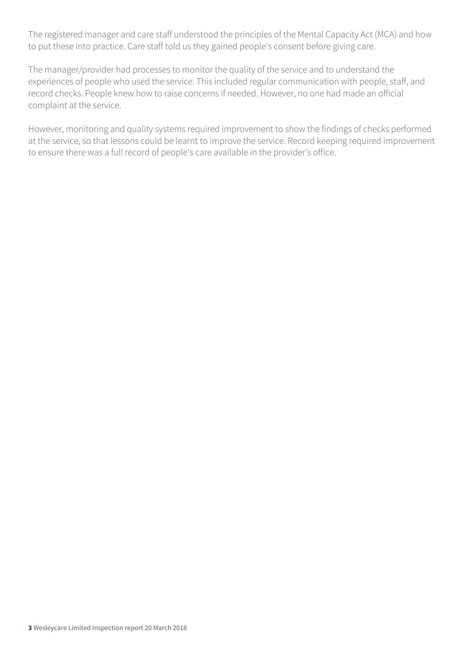The registered manager and care staff understood the principles of the Mental Capacity Act (MCA) and how to put these into practice. Care staff told us they gained people's consent before giving care.

The manager/provider had processes to monitor the quality of the service and to understand the experiences of people who used the service. This included regular communication with people, staff, and record checks. People knew how to raise concerns if needed. However, no one had made an official complaint at the service.

However, monitoring and quality systems required improvement to show the findings of checks performed at the service, so that lessons could be learnt to improve the service. Record keeping required improvement to ensure there was a full record of people's care available in the provider's office.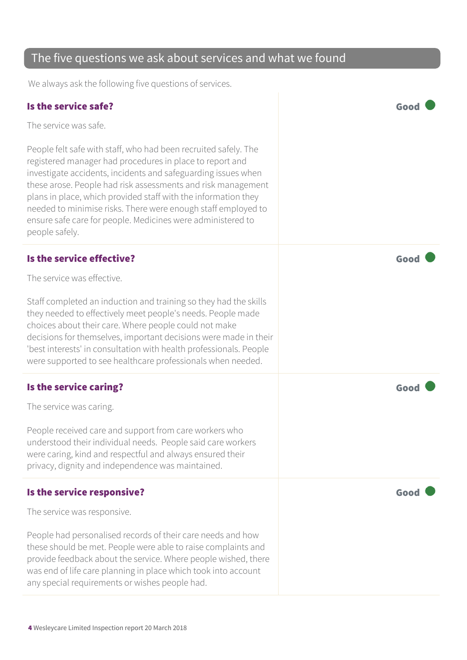| The five questions we ask about services and what we found                                                                                                                                                                                                                                                                                                                                                                                                                       |      |  |
|----------------------------------------------------------------------------------------------------------------------------------------------------------------------------------------------------------------------------------------------------------------------------------------------------------------------------------------------------------------------------------------------------------------------------------------------------------------------------------|------|--|
| We always ask the following five questions of services.                                                                                                                                                                                                                                                                                                                                                                                                                          |      |  |
| Is the service safe?                                                                                                                                                                                                                                                                                                                                                                                                                                                             | Good |  |
| The service was safe.                                                                                                                                                                                                                                                                                                                                                                                                                                                            |      |  |
| People felt safe with staff, who had been recruited safely. The<br>registered manager had procedures in place to report and<br>investigate accidents, incidents and safeguarding issues when<br>these arose. People had risk assessments and risk management<br>plans in place, which provided staff with the information they<br>needed to minimise risks. There were enough staff employed to<br>ensure safe care for people. Medicines were administered to<br>people safely. |      |  |
| Is the service effective?                                                                                                                                                                                                                                                                                                                                                                                                                                                        | Good |  |
| The service was effective.                                                                                                                                                                                                                                                                                                                                                                                                                                                       |      |  |
| Staff completed an induction and training so they had the skills<br>they needed to effectively meet people's needs. People made<br>choices about their care. Where people could not make<br>decisions for themselves, important decisions were made in their<br>'best interests' in consultation with health professionals. People<br>were supported to see healthcare professionals when needed.                                                                                |      |  |
| Is the service caring?                                                                                                                                                                                                                                                                                                                                                                                                                                                           | God  |  |
| The service was caring.                                                                                                                                                                                                                                                                                                                                                                                                                                                          |      |  |
| People received care and support from care workers who<br>understood their individual needs. People said care workers<br>were caring, kind and respectful and always ensured their<br>privacy, dignity and independence was maintained.                                                                                                                                                                                                                                          |      |  |
| Is the service responsive?                                                                                                                                                                                                                                                                                                                                                                                                                                                       | Good |  |
| The service was responsive.                                                                                                                                                                                                                                                                                                                                                                                                                                                      |      |  |
| People had personalised records of their care needs and how<br>these should be met. People were able to raise complaints and<br>provide feedback about the service. Where people wished, there<br>was end of life care planning in place which took into account<br>any special requirements or wishes people had.                                                                                                                                                               |      |  |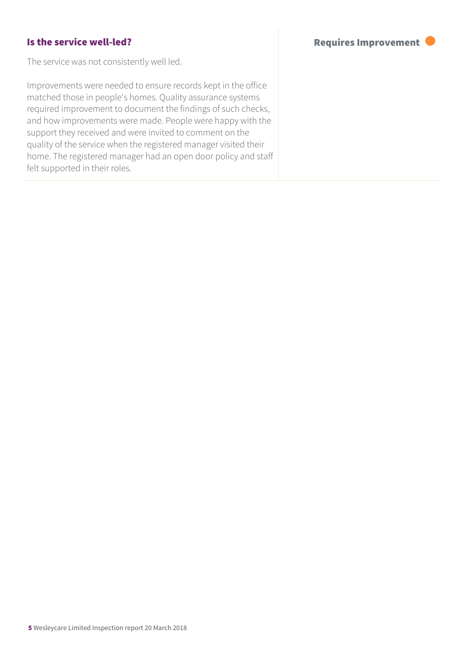#### Is the service well-led? The service well-led?

The service was not consistently well led.

Improvements were needed to ensure records kept in the office matched those in people's homes. Quality assurance systems required improvement to document the findings of such checks, and how improvements were made. People were happy with the support they received and were invited to comment on the quality of the service when the registered manager visited their home. The registered manager had an open door policy and staff felt supported in their roles.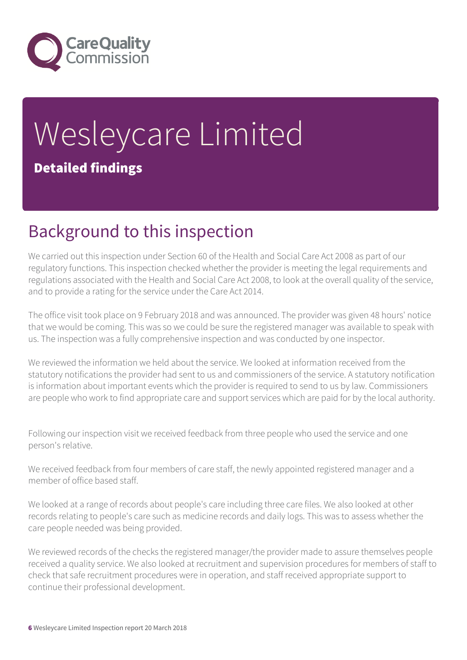

# Wesleycare Limited Detailed findings

## Background to this inspection

We carried out this inspection under Section 60 of the Health and Social Care Act 2008 as part of our regulatory functions. This inspection checked whether the provider is meeting the legal requirements and regulations associated with the Health and Social Care Act 2008, to look at the overall quality of the service, and to provide a rating for the service under the Care Act 2014.

The office visit took place on 9 February 2018 and was announced. The provider was given 48 hours' notice that we would be coming. This was so we could be sure the registered manager was available to speak with us. The inspection was a fully comprehensive inspection and was conducted by one inspector.

We reviewed the information we held about the service. We looked at information received from the statutory notifications the provider had sent to us and commissioners of the service. A statutory notification is information about important events which the provider is required to send to us by law. Commissioners are people who work to find appropriate care and support services which are paid for by the local authority.

Following our inspection visit we received feedback from three people who used the service and one person's relative.

We received feedback from four members of care staff, the newly appointed registered manager and a member of office based staff.

We looked at a range of records about people's care including three care files. We also looked at other records relating to people's care such as medicine records and daily logs. This was to assess whether the care people needed was being provided.

We reviewed records of the checks the registered manager/the provider made to assure themselves people received a quality service. We also looked at recruitment and supervision procedures for members of staff to check that safe recruitment procedures were in operation, and staff received appropriate support to continue their professional development.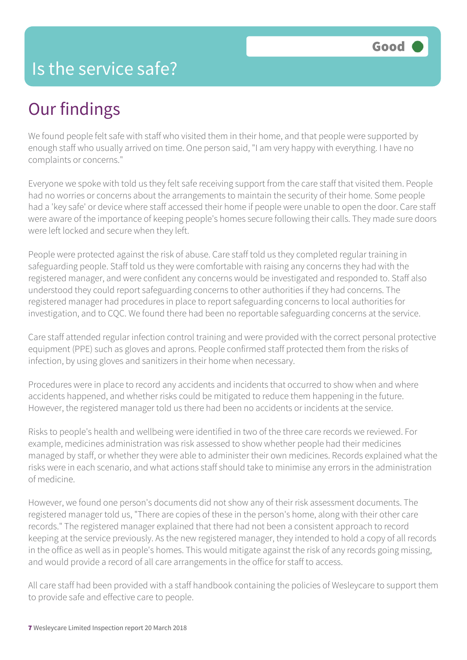#### Is the service safe?

# Our findings

We found people felt safe with staff who visited them in their home, and that people were supported by enough staff who usually arrived on time. One person said, "I am very happy with everything. I have no complaints or concerns."

Everyone we spoke with told us they felt safe receiving support from the care staff that visited them. People had no worries or concerns about the arrangements to maintain the security of their home. Some people had a 'key safe' or device where staff accessed their home if people were unable to open the door. Care staff were aware of the importance of keeping people's homes secure following their calls. They made sure doors were left locked and secure when they left.

People were protected against the risk of abuse. Care staff told us they completed regular training in safeguarding people. Staff told us they were comfortable with raising any concerns they had with the registered manager, and were confident any concerns would be investigated and responded to. Staff also understood they could report safeguarding concerns to other authorities if they had concerns. The registered manager had procedures in place to report safeguarding concerns to local authorities for investigation, and to CQC. We found there had been no reportable safeguarding concerns at the service.

Care staff attended regular infection control training and were provided with the correct personal protective equipment (PPE) such as gloves and aprons. People confirmed staff protected them from the risks of infection, by using gloves and sanitizers in their home when necessary.

Procedures were in place to record any accidents and incidents that occurred to show when and where accidents happened, and whether risks could be mitigated to reduce them happening in the future. However, the registered manager told us there had been no accidents or incidents at the service.

Risks to people's health and wellbeing were identified in two of the three care records we reviewed. For example, medicines administration was risk assessed to show whether people had their medicines managed by staff, or whether they were able to administer their own medicines. Records explained what the risks were in each scenario, and what actions staff should take to minimise any errors in the administration of medicine.

However, we found one person's documents did not show any of their risk assessment documents. The registered manager told us, "There are copies of these in the person's home, along with their other care records." The registered manager explained that there had not been a consistent approach to record keeping at the service previously. As the new registered manager, they intended to hold a copy of all records in the office as well as in people's homes. This would mitigate against the risk of any records going missing, and would provide a record of all care arrangements in the office for staff to access.

All care staff had been provided with a staff handbook containing the policies of Wesleycare to support them to provide safe and effective care to people.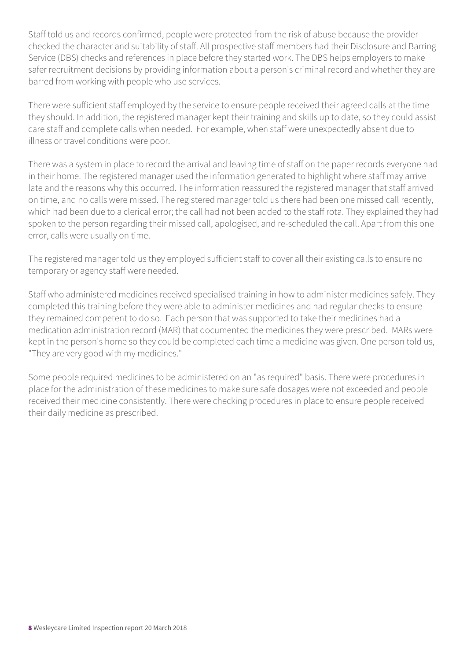Staff told us and records confirmed, people were protected from the risk of abuse because the provider checked the character and suitability of staff. All prospective staff members had their Disclosure and Barring Service (DBS) checks and references in place before they started work. The DBS helps employers to make safer recruitment decisions by providing information about a person's criminal record and whether they are barred from working with people who use services.

There were sufficient staff employed by the service to ensure people received their agreed calls at the time they should. In addition, the registered manager kept their training and skills up to date, so they could assist care staff and complete calls when needed. For example, when staff were unexpectedly absent due to illness or travel conditions were poor.

There was a system in place to record the arrival and leaving time of staff on the paper records everyone had in their home. The registered manager used the information generated to highlight where staff may arrive late and the reasons why this occurred. The information reassured the registered manager that staff arrived on time, and no calls were missed. The registered manager told us there had been one missed call recently, which had been due to a clerical error; the call had not been added to the staff rota. They explained they had spoken to the person regarding their missed call, apologised, and re-scheduled the call. Apart from this one error, calls were usually on time.

The registered manager told us they employed sufficient staff to cover all their existing calls to ensure no temporary or agency staff were needed.

Staff who administered medicines received specialised training in how to administer medicines safely. They completed this training before they were able to administer medicines and had regular checks to ensure they remained competent to do so. Each person that was supported to take their medicines had a medication administration record (MAR) that documented the medicines they were prescribed. MARs were kept in the person's home so they could be completed each time a medicine was given. One person told us, "They are very good with my medicines."

Some people required medicines to be administered on an "as required" basis. There were procedures in place for the administration of these medicines to make sure safe dosages were not exceeded and people received their medicine consistently. There were checking procedures in place to ensure people received their daily medicine as prescribed.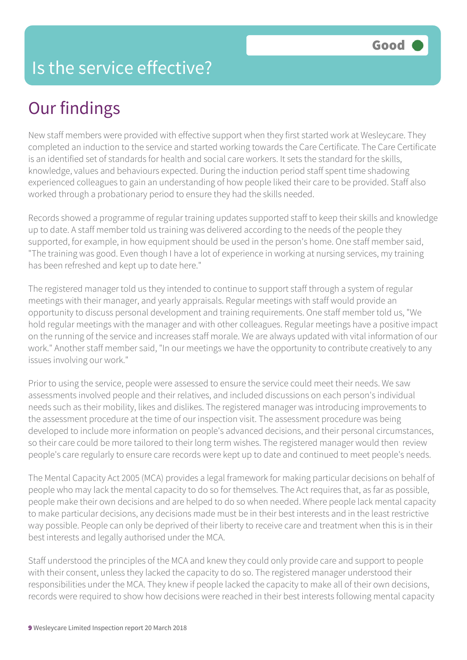### Is the service effective?

# Our findings

New staff members were provided with effective support when they first started work at Wesleycare. They completed an induction to the service and started working towards the Care Certificate. The Care Certificate is an identified set of standards for health and social care workers. It sets the standard for the skills, knowledge, values and behaviours expected. During the induction period staff spent time shadowing experienced colleagues to gain an understanding of how people liked their care to be provided. Staff also worked through a probationary period to ensure they had the skills needed.

Records showed a programme of regular training updates supported staff to keep their skills and knowledge up to date. A staff member told us training was delivered according to the needs of the people they supported, for example, in how equipment should be used in the person's home. One staff member said, "The training was good. Even though I have a lot of experience in working at nursing services, my training has been refreshed and kept up to date here."

The registered manager told us they intended to continue to support staff through a system of regular meetings with their manager, and yearly appraisals. Regular meetings with staff would provide an opportunity to discuss personal development and training requirements. One staff member told us, "We hold regular meetings with the manager and with other colleagues. Regular meetings have a positive impact on the running of the service and increases staff morale. We are always updated with vital information of our work." Another staff member said, "In our meetings we have the opportunity to contribute creatively to any issues involving our work."

Prior to using the service, people were assessed to ensure the service could meet their needs. We saw assessments involved people and their relatives, and included discussions on each person's individual needs such as their mobility, likes and dislikes. The registered manager was introducing improvements to the assessment procedure at the time of our inspection visit. The assessment procedure was being developed to include more information on people's advanced decisions, and their personal circumstances, so their care could be more tailored to their long term wishes. The registered manager would then review people's care regularly to ensure care records were kept up to date and continued to meet people's needs.

The Mental Capacity Act 2005 (MCA) provides a legal framework for making particular decisions on behalf of people who may lack the mental capacity to do so for themselves. The Act requires that, as far as possible, people make their own decisions and are helped to do so when needed. Where people lack mental capacity to make particular decisions, any decisions made must be in their best interests and in the least restrictive way possible. People can only be deprived of their liberty to receive care and treatment when this is in their best interests and legally authorised under the MCA.

Staff understood the principles of the MCA and knew they could only provide care and support to people with their consent, unless they lacked the capacity to do so. The registered manager understood their responsibilities under the MCA. They knew if people lacked the capacity to make all of their own decisions, records were required to show how decisions were reached in their best interests following mental capacity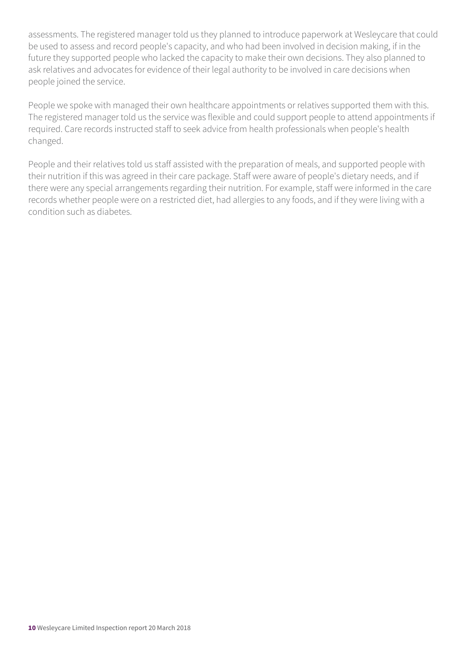assessments. The registered manager told us they planned to introduce paperwork at Wesleycare that could be used to assess and record people's capacity, and who had been involved in decision making, if in the future they supported people who lacked the capacity to make their own decisions. They also planned to ask relatives and advocates for evidence of their legal authority to be involved in care decisions when people joined the service.

People we spoke with managed their own healthcare appointments or relatives supported them with this. The registered manager told us the service was flexible and could support people to attend appointments if required. Care records instructed staff to seek advice from health professionals when people's health changed.

People and their relatives told us staff assisted with the preparation of meals, and supported people with their nutrition if this was agreed in their care package. Staff were aware of people's dietary needs, and if there were any special arrangements regarding their nutrition. For example, staff were informed in the care records whether people were on a restricted diet, had allergies to any foods, and if they were living with a condition such as diabetes.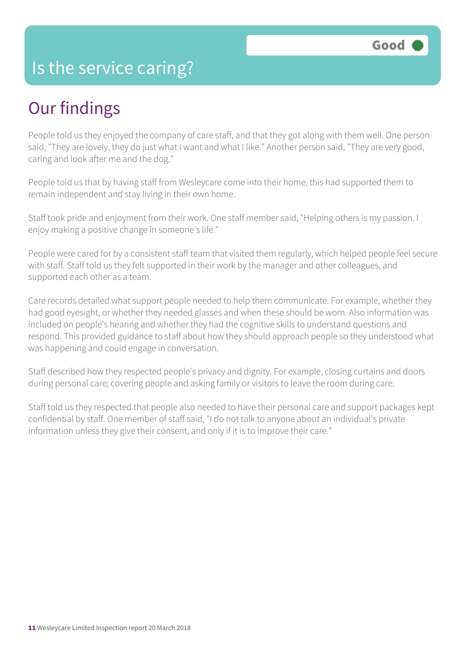#### Is the service caring?

### Our findings

People told us they enjoyed the company of care staff, and that they got along with them well. One person said, "They are lovely, they do just what I want and what I like." Another person said, "They are very good, caring and look after me and the dog."

People told us that by having staff from Wesleycare come into their home, this had supported them to remain independent and stay living in their own home.

Staff took pride and enjoyment from their work. One staff member said, "Helping others is my passion. I enjoy making a positive change in someone's life."

People were cared for by a consistent staff team that visited them regularly, which helped people feel secure with staff. Staff told us they felt supported in their work by the manager and other colleagues, and supported each other as a team.

Care records detailed what support people needed to help them communicate. For example, whether they had good eyesight, or whether they needed glasses and when these should be worn. Also information was included on people's hearing and whether they had the cognitive skills to understand questions and respond. This provided guidance to staff about how they should approach people so they understood what was happening and could engage in conversation.

Staff described how they respected people's privacy and dignity. For example, closing curtains and doors during personal care; covering people and asking family or visitors to leave the room during care.

Staff told us they respected that people also needed to have their personal care and support packages kept confidential by staff. One member of staff said, "I do not talk to anyone about an individual's private information unless they give their consent, and only if it is to improve their care."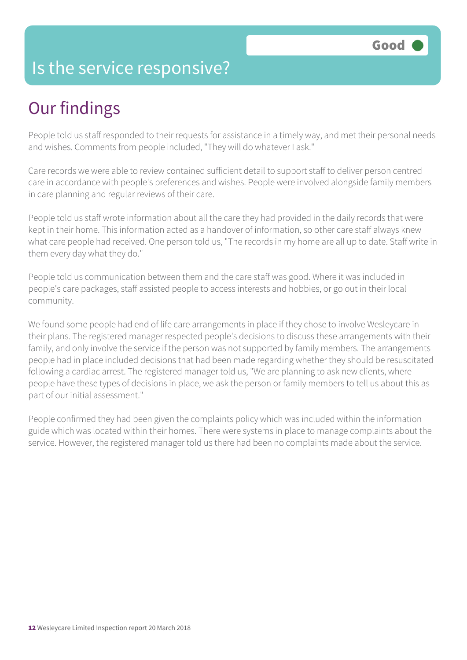### Is the service responsive?

# Our findings

People told us staff responded to their requests for assistance in a timely way, and met their personal needs and wishes. Comments from people included, "They will do whatever I ask."

Care records we were able to review contained sufficient detail to support staff to deliver person centred care in accordance with people's preferences and wishes. People were involved alongside family members in care planning and regular reviews of their care.

People told us staff wrote information about all the care they had provided in the daily records that were kept in their home. This information acted as a handover of information, so other care staff always knew what care people had received. One person told us, "The records in my home are all up to date. Staff write in them every day what they do."

People told us communication between them and the care staff was good. Where it was included in people's care packages, staff assisted people to access interests and hobbies, or go out in their local community.

We found some people had end of life care arrangements in place if they chose to involve Wesleycare in their plans. The registered manager respected people's decisions to discuss these arrangements with their family, and only involve the service if the person was not supported by family members. The arrangements people had in place included decisions that had been made regarding whether they should be resuscitated following a cardiac arrest. The registered manager told us, "We are planning to ask new clients, where people have these types of decisions in place, we ask the person or family members to tell us about this as part of our initial assessment."

People confirmed they had been given the complaints policy which was included within the information guide which was located within their homes. There were systems in place to manage complaints about the service. However, the registered manager told us there had been no complaints made about the service.